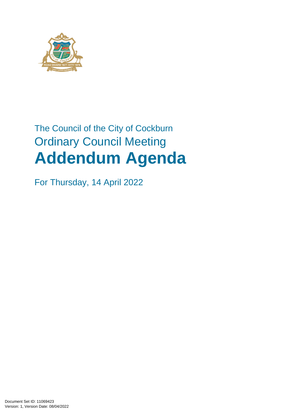

# The Council of the City of Cockburn Ordinary Council Meeting **Addendum Agenda**

For Thursday, 14 April 2022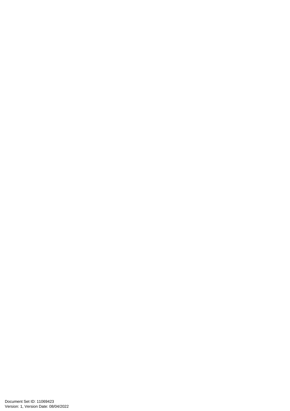Document Set ID: 11069423<br>Version: 1, Version Date: 08/04/2022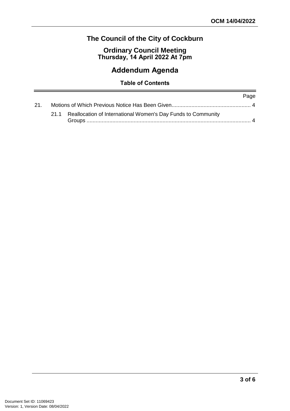# **The Council of the City of Cockburn**

#### **Ordinary Council Meeting Thursday, 14 April 2022 At 7pm**

# **Addendum Agenda**

#### **Table of Contents**

|     |  |                                                                   | Page |
|-----|--|-------------------------------------------------------------------|------|
| 21. |  |                                                                   |      |
|     |  | 21.1 Reallocation of International Women's Day Funds to Community |      |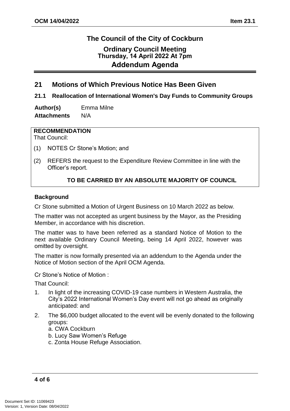### **The Council of the City of Cockburn**

#### **Ordinary Council Meeting Thursday, 14 April 2022 At 7pm Addendum Agenda**

#### <span id="page-3-0"></span>**21 Motions of Which Previous Notice Has Been Given**

#### <span id="page-3-1"></span>**21.1 Reallocation of International Women's Day Funds to Community Groups**

**Author(s)** Emma Milne **Attachments** N/A

#### **RECOMMENDATION**

That Council:

- (1) NOTES Cr Stone's Motion; and
- (2) REFERS the request to the Expenditure Review Committee in line with the Officer's report.

#### **TO BE CARRIED BY AN ABSOLUTE MAJORITY OF COUNCIL**

#### **Background**

Cr Stone submitted a Motion of Urgent Business on 10 March 2022 as below.

The matter was not accepted as urgent business by the Mayor, as the Presiding Member, in accordance with his discretion.

The matter was to have been referred as a standard Notice of Motion to the next available Ordinary Council Meeting, being 14 April 2022, however was omitted by oversight.

The matter is now formally presented via an addendum to the Agenda under the Notice of Motion section of the April OCM Agenda.

Cr Stone's Notice of Motion :

That Council:

- 1. In light of the increasing COVID-19 case numbers in Western Australia, the City's 2022 International Women's Day event will not go ahead as originally anticipated: and
- 2. The \$6,000 budget allocated to the event will be evenly donated to the following groups:
	- a. CWA Cockburn
	- b. Lucy Saw Women's Refuge
	- c. Zonta House Refuge Association.

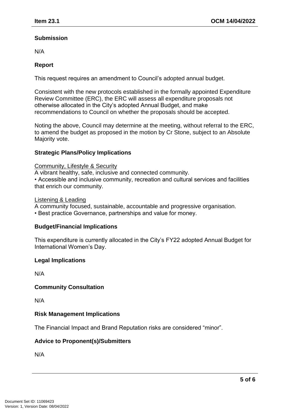#### **Submission**

N/A

#### **Report**

This request requires an amendment to Council's adopted annual budget.

Consistent with the new protocols established in the formally appointed Expenditure Review Committee (ERC), the ERC will assess all expenditure proposals not otherwise allocated in the City's adopted Annual Budget, and make recommendations to Council on whether the proposals should be accepted.

Noting the above, Council may determine at the meeting, without referral to the ERC, to amend the budget as proposed in the motion by Cr Stone, subject to an Absolute Majority vote.

#### **Strategic Plans/Policy Implications**

#### Community, Lifestyle & Security

A vibrant healthy, safe, inclusive and connected community. • Accessible and inclusive community, recreation and cultural services and facilities that enrich our community.

#### Listening & Leading

A community focused, sustainable, accountable and progressive organisation. • Best practice Governance, partnerships and value for money.

#### **Budget/Financial Implications**

This expenditure is currently allocated in the City's FY22 adopted Annual Budget for International Women's Day.

#### **Legal Implications**

N/A

#### **Community Consultation**

N/A

#### **Risk Management Implications**

The Financial Impact and Brand Reputation risks are considered "minor".

#### **Advice to Proponent(s)/Submitters**

N/A